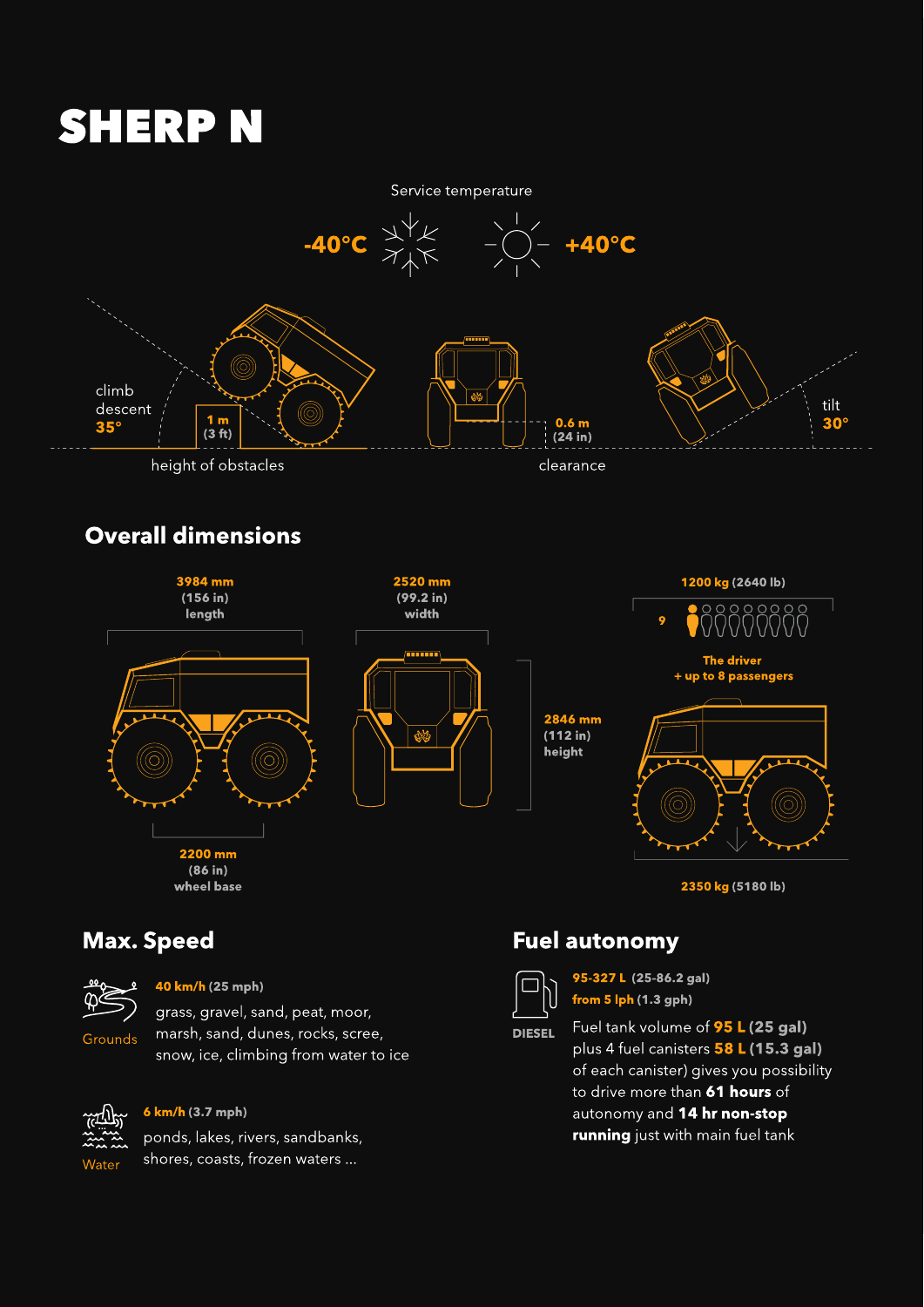#### Max. Speed



Grounds

grass, gravel, sand, peat, moor, marsh, sand, dunes, rocks, scree, snow, ice, climbing from water to ice

40 km/h (25 mph)



ponds, lakes, rivers, sandbanks, shores, coasts, frozen waters ... 6 km/h (3.7 mph)

#### Fuel autonomy



DIESEL

Fuel tank volume of **95 L (25 gal)** plus 4 fuel canisters 58 L (15.3 gal) of each canister) gives you possibility to drive more than 61 hours of autonomy and 14 hr non-stop **running** just with main fuel tank

95-327 L (25-86.2 gal) from 5 lph (1.3 gph)

# SHERP N



#### Overall dimensions

(86 in) wheel base 2200 mm



2350 kg (5180 lb)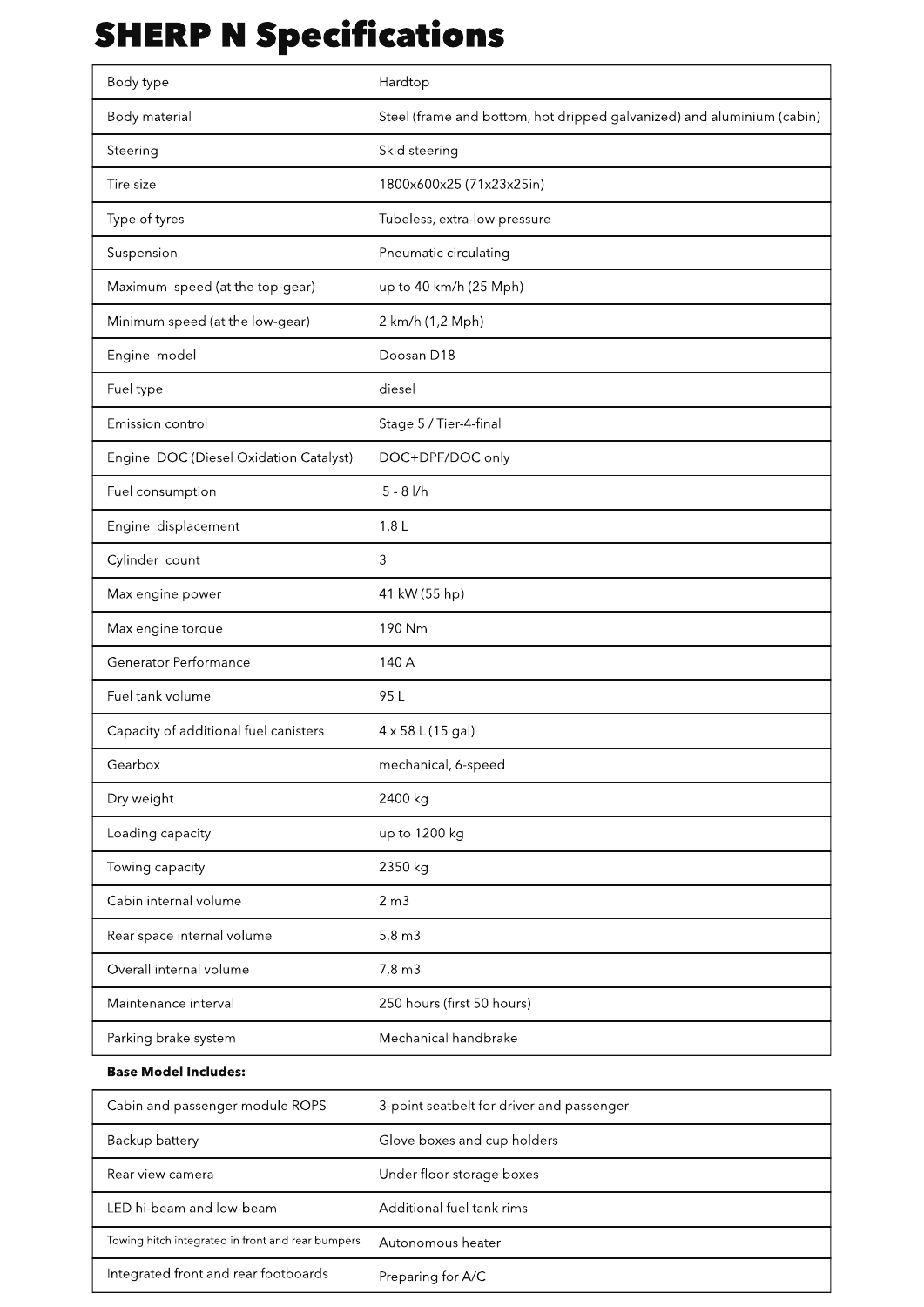## SHERP N Specifications

#### Base Model Includes:

| Body type                              | Hardtop                                                                |
|----------------------------------------|------------------------------------------------------------------------|
| <b>Body material</b>                   | Steel (frame and bottom, hot dripped galvanized) and aluminium (cabin) |
| Steering                               | Skid steering                                                          |
| Tire size                              | 1800x600x25 (71x23x25in)                                               |
| Type of tyres                          | Tubeless, extra-low pressure                                           |
| Suspension                             | Pneumatic circulating                                                  |
| Maximum speed (at the top-gear)        | up to 40 km/h (25 Mph)                                                 |
| Minimum speed (at the low-gear)        | 2 km/h (1,2 Mph)                                                       |
| Engine model                           | Doosan D18                                                             |
| Fuel type                              | diesel                                                                 |
| Emission control                       | Stage 5 / Tier-4-final                                                 |
| Engine DOC (Diesel Oxidation Catalyst) | DOC+DPF/DOC only                                                       |
| Fuel consumption                       | $5 - 8$ $1/h$                                                          |
| Engine displacement                    | 1.8 <sub>L</sub>                                                       |
| Cylinder count                         | 3                                                                      |
| Max engine power                       | 41 kW (55 hp)                                                          |
| Max engine torque                      | 190 Nm                                                                 |
| <b>Generator Performance</b>           | 140 A                                                                  |
| Fuel tank volume                       | 95 L                                                                   |
| Capacity of additional fuel canisters  | $4 \times 58$ L(15 gal)                                                |
| Gearbox                                | mechanical, 6-speed                                                    |
| Dry weight                             | 2400 kg                                                                |
| Loading capacity                       | up to 1200 kg                                                          |
| Towing capacity                        | 2350 kg                                                                |
| Cabin internal volume                  | 2 m3                                                                   |
| Rear space internal volume             | $5,8 \, \text{m}$ 3                                                    |
| Overall internal volume                | $7,8 \text{ m}$ 3                                                      |
| Maintenance interval                   | 250 hours (first 50 hours)                                             |
| Parking brake system                   | Mechanical handbrake                                                   |

| Cabin and passenger module ROPS                   | 3-point seatbelt for driver and passenger |
|---------------------------------------------------|-------------------------------------------|
| Backup battery                                    | Glove boxes and cup holders               |
| Rear view camera                                  | Under floor storage boxes                 |
| LED hi-beam and low-beam                          | Additional fuel tank rims                 |
| Towing hitch integrated in front and rear bumpers | Autonomous heater                         |
| Integrated front and rear footboards              | Preparing for A/C                         |